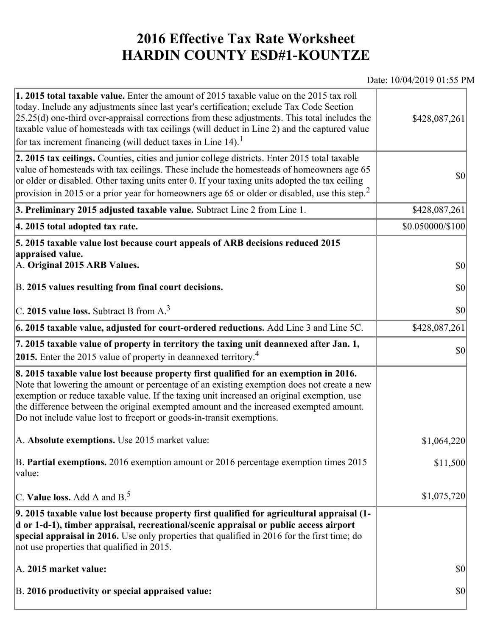## **2016 Effective Tax Rate Worksheet HARDIN COUNTY ESD#1-KOUNTZE**

## Date: 10/04/2019 01:55 PM

| 1. 2015 total taxable value. Enter the amount of 2015 taxable value on the 2015 tax roll<br>today. Include any adjustments since last year's certification; exclude Tax Code Section<br>$[25.25(d)$ one-third over-appraisal corrections from these adjustments. This total includes the<br>taxable value of homesteads with tax ceilings (will deduct in Line 2) and the captured value<br>for tax increment financing (will deduct taxes in Line $14$ ). <sup>1</sup> | \$428,087,261                       |
|-------------------------------------------------------------------------------------------------------------------------------------------------------------------------------------------------------------------------------------------------------------------------------------------------------------------------------------------------------------------------------------------------------------------------------------------------------------------------|-------------------------------------|
| 2. 2015 tax ceilings. Counties, cities and junior college districts. Enter 2015 total taxable<br>value of homesteads with tax ceilings. These include the homesteads of homeowners age 65<br>or older or disabled. Other taxing units enter 0. If your taxing units adopted the tax ceiling<br>provision in 2015 or a prior year for homeowners age 65 or older or disabled, use this step. <sup>2</sup>                                                                | 30                                  |
| 3. Preliminary 2015 adjusted taxable value. Subtract Line 2 from Line 1.                                                                                                                                                                                                                                                                                                                                                                                                | \$428,087,261                       |
| 4. 2015 total adopted tax rate.                                                                                                                                                                                                                                                                                                                                                                                                                                         | \$0.050000/\$100                    |
| 5. 2015 taxable value lost because court appeals of ARB decisions reduced 2015<br>appraised value.<br>A. Original 2015 ARB Values.<br>B. 2015 values resulting from final court decisions.                                                                                                                                                                                                                                                                              | $ 10\rangle$<br>$ 10\rangle$        |
|                                                                                                                                                                                                                                                                                                                                                                                                                                                                         |                                     |
| C. 2015 value loss. Subtract B from A. <sup>3</sup>                                                                                                                                                                                                                                                                                                                                                                                                                     | \$0                                 |
| 6. 2015 taxable value, adjusted for court-ordered reductions. Add Line 3 and Line 5C.                                                                                                                                                                                                                                                                                                                                                                                   | \$428,087,261                       |
| 7. 2015 taxable value of property in territory the taxing unit deannexed after Jan. 1,<br>2015. Enter the 2015 value of property in deannexed territory. <sup>4</sup>                                                                                                                                                                                                                                                                                                   | \$0                                 |
| 8. 2015 taxable value lost because property first qualified for an exemption in 2016.<br>Note that lowering the amount or percentage of an existing exemption does not create a new<br>exemption or reduce taxable value. If the taxing unit increased an original exemption, use<br>the difference between the original exempted amount and the increased exempted amount.<br>Do not include value lost to freeport or goods-in-transit exemptions.                    |                                     |
| A. Absolute exemptions. Use 2015 market value:                                                                                                                                                                                                                                                                                                                                                                                                                          | \$1,064,220                         |
| B. Partial exemptions. 2016 exemption amount or 2016 percentage exemption times 2015<br>value:                                                                                                                                                                                                                                                                                                                                                                          | \$11,500                            |
| C. Value loss. Add A and $B^5$                                                                                                                                                                                                                                                                                                                                                                                                                                          | \$1,075,720                         |
| 9. 2015 taxable value lost because property first qualified for agricultural appraisal (1-<br>d or 1-d-1), timber appraisal, recreational/scenic appraisal or public access airport<br>special appraisal in 2016. Use only properties that qualified in 2016 for the first time; do<br>not use properties that qualified in 2015.                                                                                                                                       |                                     |
| A. 2015 market value:                                                                                                                                                                                                                                                                                                                                                                                                                                                   | $\vert \mathbf{S} \mathbf{O} \vert$ |
| B. 2016 productivity or special appraised value:                                                                                                                                                                                                                                                                                                                                                                                                                        | \$0                                 |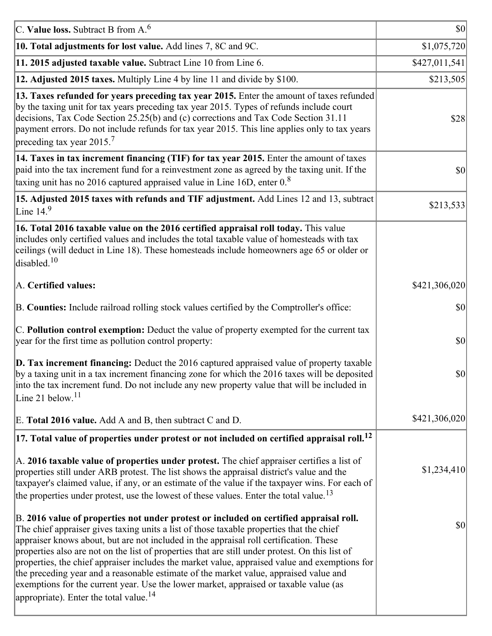| C. Value loss. Subtract B from $A6$                                                                                                                                                                                                                                                                                                                                                                                                                                                                                                                                                                                                                                                                                      | $ 10\rangle$  |
|--------------------------------------------------------------------------------------------------------------------------------------------------------------------------------------------------------------------------------------------------------------------------------------------------------------------------------------------------------------------------------------------------------------------------------------------------------------------------------------------------------------------------------------------------------------------------------------------------------------------------------------------------------------------------------------------------------------------------|---------------|
| 10. Total adjustments for lost value. Add lines 7, 8C and 9C.                                                                                                                                                                                                                                                                                                                                                                                                                                                                                                                                                                                                                                                            | \$1,075,720   |
| 11. 2015 adjusted taxable value. Subtract Line 10 from Line 6.                                                                                                                                                                                                                                                                                                                                                                                                                                                                                                                                                                                                                                                           | \$427,011,541 |
| 12. Adjusted 2015 taxes. Multiply Line 4 by line 11 and divide by \$100.                                                                                                                                                                                                                                                                                                                                                                                                                                                                                                                                                                                                                                                 | \$213,505     |
| 13. Taxes refunded for years preceding tax year 2015. Enter the amount of taxes refunded<br>by the taxing unit for tax years preceding tax year 2015. Types of refunds include court<br>decisions, Tax Code Section 25.25(b) and (c) corrections and Tax Code Section 31.11<br>payment errors. Do not include refunds for tax year 2015. This line applies only to tax years<br>preceding tax year 2015. <sup>7</sup>                                                                                                                                                                                                                                                                                                    | \$28          |
| 14. Taxes in tax increment financing (TIF) for tax year 2015. Enter the amount of taxes<br>paid into the tax increment fund for a reinvestment zone as agreed by the taxing unit. If the<br>taxing unit has no 2016 captured appraised value in Line 16D, enter $0.8$                                                                                                                                                                                                                                                                                                                                                                                                                                                    | 30            |
| 15. Adjusted 2015 taxes with refunds and TIF adjustment. Add Lines 12 and 13, subtract<br>Line $149$                                                                                                                                                                                                                                                                                                                                                                                                                                                                                                                                                                                                                     | \$213,533     |
| 16. Total 2016 taxable value on the 2016 certified appraisal roll today. This value<br>includes only certified values and includes the total taxable value of homesteads with tax<br>ceilings (will deduct in Line 18). These homesteads include homeowners age 65 or older or<br>disabled. <sup>10</sup>                                                                                                                                                                                                                                                                                                                                                                                                                |               |
| A. Certified values:                                                                                                                                                                                                                                                                                                                                                                                                                                                                                                                                                                                                                                                                                                     | \$421,306,020 |
| B. Counties: Include railroad rolling stock values certified by the Comptroller's office:                                                                                                                                                                                                                                                                                                                                                                                                                                                                                                                                                                                                                                | \$0           |
| C. Pollution control exemption: Deduct the value of property exempted for the current tax<br>year for the first time as pollution control property:                                                                                                                                                                                                                                                                                                                                                                                                                                                                                                                                                                      | $ 10\rangle$  |
| $\vert$ D. Tax increment financing: Deduct the 2016 captured appraised value of property taxable<br>by a taxing unit in a tax increment financing zone for which the 2016 taxes will be deposited<br>into the tax increment fund. Do not include any new property value that will be included in<br>Line 21 below. $11$                                                                                                                                                                                                                                                                                                                                                                                                  | \$0           |
| E. Total 2016 value. Add A and B, then subtract C and D.                                                                                                                                                                                                                                                                                                                                                                                                                                                                                                                                                                                                                                                                 | \$421,306,020 |
| $ 17$ . Total value of properties under protest or not included on certified appraisal roll. <sup>12</sup>                                                                                                                                                                                                                                                                                                                                                                                                                                                                                                                                                                                                               |               |
| A. 2016 taxable value of properties under protest. The chief appraiser certifies a list of<br>properties still under ARB protest. The list shows the appraisal district's value and the<br>taxpayer's claimed value, if any, or an estimate of the value if the taxpayer wins. For each of<br>the properties under protest, use the lowest of these values. Enter the total value. <sup>13</sup>                                                                                                                                                                                                                                                                                                                         | \$1,234,410   |
| B. 2016 value of properties not under protest or included on certified appraisal roll.<br>The chief appraiser gives taxing units a list of those taxable properties that the chief<br>appraiser knows about, but are not included in the appraisal roll certification. These<br>properties also are not on the list of properties that are still under protest. On this list of<br>properties, the chief appraiser includes the market value, appraised value and exemptions for<br>the preceding year and a reasonable estimate of the market value, appraised value and<br>exemptions for the current year. Use the lower market, appraised or taxable value (as<br>appropriate). Enter the total value. <sup>14</sup> | \$0           |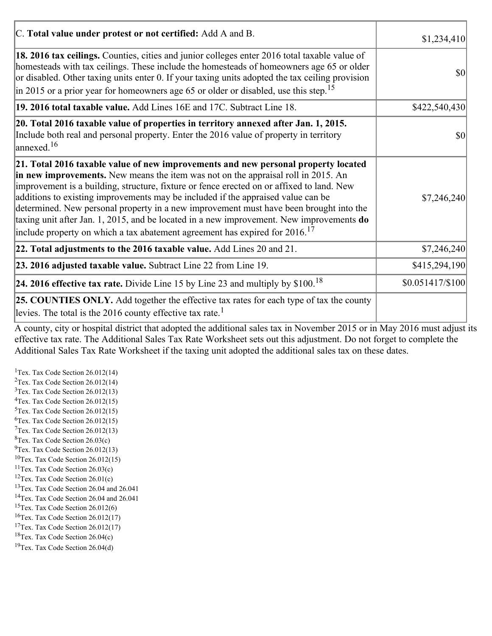| C. Total value under protest or not certified: Add A and B.                                                                                                                                                                                                                                                                                                                                                                                                                                                                                                                                                                                  | \$1,234,410                         |
|----------------------------------------------------------------------------------------------------------------------------------------------------------------------------------------------------------------------------------------------------------------------------------------------------------------------------------------------------------------------------------------------------------------------------------------------------------------------------------------------------------------------------------------------------------------------------------------------------------------------------------------------|-------------------------------------|
| 18. 2016 tax ceilings. Counties, cities and junior colleges enter 2016 total taxable value of<br>homesteads with tax ceilings. These include the homesteads of homeowners age 65 or older<br>or disabled. Other taxing units enter 0. If your taxing units adopted the tax ceiling provision<br>in 2015 or a prior year for homeowners age 65 or older or disabled, use this step. <sup>15</sup>                                                                                                                                                                                                                                             | $\vert \mathbf{S} \mathbf{O} \vert$ |
| 19. 2016 total taxable value. Add Lines 16E and 17C. Subtract Line 18.                                                                                                                                                                                                                                                                                                                                                                                                                                                                                                                                                                       | \$422,540,430                       |
| 20. Total 2016 taxable value of properties in territory annexed after Jan. 1, 2015.<br>Include both real and personal property. Enter the 2016 value of property in territory<br>$\text{lanned}$ . <sup>16</sup>                                                                                                                                                                                                                                                                                                                                                                                                                             | \$0                                 |
| 21. Total 2016 taxable value of new improvements and new personal property located<br>in new improvements. New means the item was not on the appraisal roll in 2015. An<br>improvement is a building, structure, fixture or fence erected on or affixed to land. New<br>additions to existing improvements may be included if the appraised value can be<br>determined. New personal property in a new improvement must have been brought into the<br>taxing unit after Jan. 1, 2015, and be located in a new improvement. New improvements do<br>include property on which a tax abatement agreement has expired for $2016$ . <sup>17</sup> | \$7,246,240                         |
| 22. Total adjustments to the 2016 taxable value. Add Lines 20 and 21.                                                                                                                                                                                                                                                                                                                                                                                                                                                                                                                                                                        | \$7,246,240                         |
| 23. 2016 adjusted taxable value. Subtract Line 22 from Line 19.                                                                                                                                                                                                                                                                                                                                                                                                                                                                                                                                                                              | \$415,294,190                       |
| <b>24. 2016 effective tax rate.</b> Divide Line 15 by Line 23 and multiply by $$100$ . <sup>18</sup>                                                                                                                                                                                                                                                                                                                                                                                                                                                                                                                                         | $$0.051417/\$100$                   |
| <b>25. COUNTIES ONLY.</b> Add together the effective tax rates for each type of tax the county<br>levies. The total is the 2016 county effective tax rate. <sup>1</sup>                                                                                                                                                                                                                                                                                                                                                                                                                                                                      |                                     |

A county, city or hospital district that adopted the additional sales tax in November 2015 or in May 2016 must adjust its effective tax rate. The Additional Sales Tax Rate Worksheet sets out this adjustment. Do not forget to complete the Additional Sales Tax Rate Worksheet if the taxing unit adopted the additional sales tax on these dates.

<sup>1</sup>Tex. Tax Code Section  $26.012(14)$ <sup>2</sup>Tex. Tax Code Section  $26.012(14)$  $3$ Tex. Tax Code Section 26.012(13)  ${}^{4}$ Tex. Tax Code Section 26.012(15)  $5$ Tex. Tax Code Section 26.012(15)  ${}^{6}$ Tex. Tax Code Section 26.012(15)  $7$ Tex. Tax Code Section 26.012(13)  ${}^{8}$ Tex. Tax Code Section 26.03(c)  $^{9}$ Tex. Tax Code Section 26.012(13)  $10$ Tex. Tax Code Section 26.012(15) <sup>11</sup>Tex. Tax Code Section  $26.03(c)$ <sup>12</sup>Tex. Tax Code Section  $26.01(c)$ <sup>13</sup>Tex. Tax Code Section 26.04 and 26.041 <sup>14</sup>Tex. Tax Code Section 26.04 and 26.041 <sup>15</sup>Tex. Tax Code Section  $26.012(6)$  $16$ Tex. Tax Code Section 26.012(17) <sup>17</sup>Tex. Tax Code Section  $26.012(17)$ <sup>18</sup>Tex. Tax Code Section 26.04(c) <sup>19</sup>Tex. Tax Code Section 26.04(d)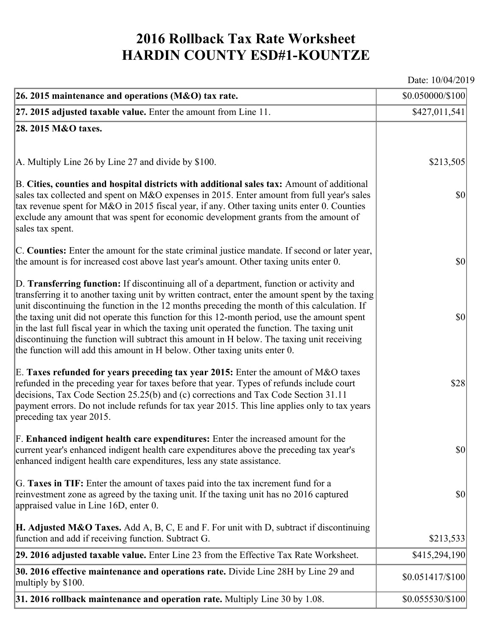## **2016 Rollback Tax Rate Worksheet HARDIN COUNTY ESD#1-KOUNTZE**

Date: 10/04/2019

| 26. 2015 maintenance and operations (M&O) tax rate.                                                                                                                                                                                                                                                                                                                                                                                                                                                                                                                                                                                                                     | \$0.050000/\$100  |
|-------------------------------------------------------------------------------------------------------------------------------------------------------------------------------------------------------------------------------------------------------------------------------------------------------------------------------------------------------------------------------------------------------------------------------------------------------------------------------------------------------------------------------------------------------------------------------------------------------------------------------------------------------------------------|-------------------|
| $ 27.2015$ adjusted taxable value. Enter the amount from Line 11.                                                                                                                                                                                                                                                                                                                                                                                                                                                                                                                                                                                                       | \$427,011,541     |
| 28. 2015 M&O taxes.                                                                                                                                                                                                                                                                                                                                                                                                                                                                                                                                                                                                                                                     |                   |
|                                                                                                                                                                                                                                                                                                                                                                                                                                                                                                                                                                                                                                                                         |                   |
| A. Multiply Line 26 by Line 27 and divide by \$100.                                                                                                                                                                                                                                                                                                                                                                                                                                                                                                                                                                                                                     | \$213,505         |
| B. Cities, counties and hospital districts with additional sales tax: Amount of additional<br>sales tax collected and spent on M&O expenses in 2015. Enter amount from full year's sales<br>tax revenue spent for M&O in 2015 fiscal year, if any. Other taxing units enter 0. Counties<br>exclude any amount that was spent for economic development grants from the amount of<br>sales tax spent.                                                                                                                                                                                                                                                                     | $ 10\rangle$      |
| C. Counties: Enter the amount for the state criminal justice mandate. If second or later year,<br>the amount is for increased cost above last year's amount. Other taxing units enter 0.                                                                                                                                                                                                                                                                                                                                                                                                                                                                                | $ 10\rangle$      |
| D. Transferring function: If discontinuing all of a department, function or activity and<br>transferring it to another taxing unit by written contract, enter the amount spent by the taxing<br>unit discontinuing the function in the 12 months preceding the month of this calculation. If<br>the taxing unit did not operate this function for this 12-month period, use the amount spent<br>in the last full fiscal year in which the taxing unit operated the function. The taxing unit<br>discontinuing the function will subtract this amount in H below. The taxing unit receiving<br>the function will add this amount in H below. Other taxing units enter 0. | $ 10\rangle$      |
| E. Taxes refunded for years preceding tax year 2015: Enter the amount of M&O taxes<br>refunded in the preceding year for taxes before that year. Types of refunds include court<br>decisions, Tax Code Section 25.25(b) and (c) corrections and Tax Code Section 31.11<br>payment errors. Do not include refunds for tax year 2015. This line applies only to tax years<br>preceding tax year 2015.                                                                                                                                                                                                                                                                     | \$28              |
| F. Enhanced indigent health care expenditures: Enter the increased amount for the<br>current year's enhanced indigent health care expenditures above the preceding tax year's<br>enhanced indigent health care expenditures, less any state assistance.                                                                                                                                                                                                                                                                                                                                                                                                                 | $ 10\rangle$      |
| G. Taxes in TIF: Enter the amount of taxes paid into the tax increment fund for a<br>reinvestment zone as agreed by the taxing unit. If the taxing unit has no 2016 captured<br>appraised value in Line 16D, enter 0.                                                                                                                                                                                                                                                                                                                                                                                                                                                   | $ 10\rangle$      |
| <b>H. Adjusted M&amp;O Taxes.</b> Add A, B, C, E and F. For unit with D, subtract if discontinuing<br>function and add if receiving function. Subtract G.                                                                                                                                                                                                                                                                                                                                                                                                                                                                                                               | \$213,533         |
| 29. 2016 adjusted taxable value. Enter Line 23 from the Effective Tax Rate Worksheet.                                                                                                                                                                                                                                                                                                                                                                                                                                                                                                                                                                                   | \$415,294,190     |
| 30. 2016 effective maintenance and operations rate. Divide Line 28H by Line 29 and<br>multiply by \$100.                                                                                                                                                                                                                                                                                                                                                                                                                                                                                                                                                                | $$0.051417/\$100$ |
| 31. 2016 rollback maintenance and operation rate. Multiply Line 30 by $1.08$ .                                                                                                                                                                                                                                                                                                                                                                                                                                                                                                                                                                                          | \$0.055530/\$100  |